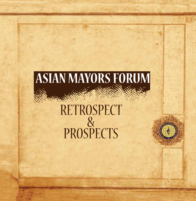# **ASIAN MAYORS FORUM** RETROSPECT PROSPECTS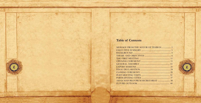# **Table of Contents**

MESSAGE FROM THE MAYOR EXECUTIVE SUMMARY ............. THEME AND OBJECTIVES ........ THE FIRST MEETING ................. OPENING CEREMONY .............. GENERAL ASSEMBLY .................. FINAL DECLARATION ............... CLOSING CEREMONY ................ POST-MEETING VISITS ............. PARTICIPATING CITIES ............. ASIAN MAYORS FORUM SECRE FUTURE OUTLOOK .......................

| OF TEHRAN  1 |  |
|--------------|--|
|              |  |
|              |  |
|              |  |
|              |  |
|              |  |
|              |  |
|              |  |
|              |  |
|              |  |
|              |  |
|              |  |
|              |  |
|              |  |
|              |  |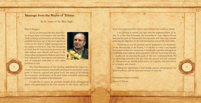# **Message from the Mayor of Tehran**

In the Name of the Most High

#### Dear Colleagues,

1

As you are informed, the first Asian Mayors Forum, held on November 19th and 20th, 2008, in Tehran and hosted by the Tehran Municipality has been one of the most significant events in the field of urban management in the ancient continent of Asia. The attendance of more than 89 Asian mayors, governors and high-ranking state officials and some of the Asian urban management thinkers and executives indicated the convergence and participation of municipal authorities to solve urban problems in Asia.



The Final Declaration of this meeting underlined the urgent necessity of good governance, sustainable development and citizens' prosperity at national, regional and global levels and aimed at revitalizing the sovereignty and splendor of the great Asian civilization and moving towards higher standards in development.

2

I would like to express my gratitude towards all the distinguished guests who participated in the first meeting of this forum and to all those who expressed their interest and solidarity but could not attend.

I am pleased to inform you that with the implementation of article 15 of the final declaration, the Secretariat of Asian Mayors Forum launched its work in Tehran and this important and basic step towards achieving the objectives of the said meeting has successfully been taken.

Presenting to you the attached report, prepared by the Secretariat, on the first meeting of the Forum, I would like to solicit your valuable viewpoints on this new movement. Undoubtedly, your ideas and inputs on establishing closer relations and cooperation with the Secretariat will play a valuable role in achieving the goals of this new continental body. We are all looking forward to the day when the ancient and rich continent of Asia achieves its rightful global status via sympathy and joint efforts of its leaders and citizens.

Taking the opportunity, I wish health, success and prosperity for Your Excellency and the esteemed citizens of your city.

Mohammad-Bagher Ghalibaf Mayor of Tehran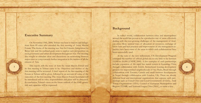# **Executive Summary**

3

On November 19th, 2008, Tehran was host to mayors and delegations from 89 cities who attended the first meeting of Asian Mayors Forum. The theme of the meeting was Asia for Citizens: Integration for Better Life and the outlined goals were to explore new perspectives on local governance and urban development throughout Asia. The meeting also sought to stimulate ideas and discussions on networking between major cities as a step towards further integration in the interest of all the citizens of Asia.

This report, tells the story of how the Asian Mayors Forum and its first meeting in Tehran came to be. Objectives and themes of the first meeting will be reviewed. A brief report of the first meeting of the Forum in Tehran will be given, followed by an account of some of the outcomes of the first meeting. The Asian Mayors Forum Secretariat will be introduced and its roles, responsibilities and plans will be discussed. In conclusion, Tehran's views on the future outlook of the AMF, potentials and capacities will be expressed.

4

# **Background**

In today's world, collaboration between cities and municipalities around the world has proven to be a productive way of more effectively dealing with the ever-growing challenges of the management of modern cities. More optimal ways of allocation of resources, exchange of know-how and best practices and improvement of city management capacities have been some of the areas in which such collaborations have been successfully used.

At the turn of the new millennium, UN Development Program estimated the number of official global city-to-city links to be between 15,000 to 20,000 (UNDP, 2000). A few examples of such partnerships include: expansion of the rapid bus transit system in Kunming, China through collaboration with Zurich, Switzerland; housing development projects for impoverished neighborhoods of Sao Paolo, Brazil through collaboration with Toronto, Canada and small business developments in Nepal through collaboration with London, UK. There are already different local and international organizations that espouse such partnerships such as United Cities and Local Governments (UCLG), Arab Towns Organizations (ATO), Council of European Municipalities and Regions (CEMR) and National League Cities (NLC), to name a few.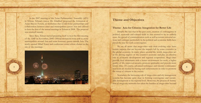In the 2007 meeting of the Asian Parliamentary Assembly (APA) in Tehran, Tehran's mayor, Dr. Ghalibaf, proposed the formation of Asian Mayors Forum, an institution that would foster partnerships and collaboration between cities and municipalities across Asia and offered to host the first of the annual meetings in Tehran in 2008. The proposal was received warmly.

Since then, Tehran started preparing itself to host the first meeting of the AMF in November, 2008. Official invitations were sent to many municipalities around Asia and some honorary guests outside Asia. The newly opened Milad Tower and conference center where chosen as the site of the meetings.



5

# **Theme and Objectives**

## Theme: Asia for Citizens: Integration for Better Life

Despite the fact that in the past years, creation of convergence in political, economic and cultural fields in Asia seemed to be an unlikely issue, the spread of communication tools as well as certain universal notions and concepts particularly in the political and economic fields have paved the way for such a convergence.

6

We are all aware that mega-cities with their evolving roles leave certain impacts that are beyond the impacts left by some countries in the global economy. In many places around the world, mega-cities act as the driving engines of the country's economy and play an effective role in economic development and regional cooperation. Mega-cities provide their inhabitants with a better environment for work, a higher quality of life, improved security, promote spirituality and provide more leisure time. Of course, advanced techniques and internet communication tools are needed for having such achievements in order to promote the status of citizens in the society.

Nowadays, the increasing role of mega-cities and city management systems has become quite clear in forming convergence and sustainable development at the regional level. Moreover, the process of formation of mega-city networks has taken the borders of mega-cities beyond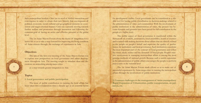7

**1. Local governance and public participation** 

The issue of public contribution in running the local affairs has been taken into consideration since a decade ago as an essential factor

for development studies. Local governance can be considered as a reliable tool for having public contribution in decision-makings related to the administration of cities and communities. With the involvement of public institutions in the administration of cities, the process has become dynamic and grounds have been paved for full contribution by the people at a higher level.

8

The public aspect of local governance is manifested within the framework of councils, associations, local assemblies, board of trustees and is tasked with making decisions about affairs that are directly related to the people on people's behalf and supervise the quality of performance by institutions and local governance. Such institutions constitute the most important part of the concept of local governance and reflect the views, ideals, wishes and the demands of local people. People's massive involvement in managing metropolitan affairs is among the most genuine methods of national growth Because such a useful experience in the administration of public affairs encourages the people to perform major tasks at the national level

**2. Common challenges to the management of Asian metropolises:** Rapid Expansion of Urbanization, public transportation, air pollution, etc.

The 1st Asian Mayors Forum made efforts so as to make use of successful experiences by Asian mega-cities in running the metropolitan affairs through the involvement of public institutions

their metropolitan borders. Cities are in need of further interaction and convergence in order to obtain their new identity that encompasses all political, economic, social, cultural and geographical elements in a consistent and target-oriented manner. Cities are currently moving towards further welfare and promotion through interaction and following the common goal of having an active and effective presence at the global .level

The 1st Asian Mayors Forum chose the theme of integration for a better life so as to take a step forward for improving the living condition of Asian citizens through. the exchange of experiences in Asia

## **Objectives**

The aim of the first-ever meeting of the Asian Mayors Forum was to explore new perspectives on local governance and urban development throughout Asia. The meeting sought to stimulate ideas and discussions on networking among major cities

as a step towards greater integration in Asia

## **Topics**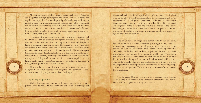More strength is needed to manage bigger challenges in Asia that can be gained through convergence and unity. Awareness about the capabilities, capacities, shortcomings and problems in mega-cities (with regard to their role in the formation of national and global economies) will be helpful in eliminating such difficulties. Mega-cities in Asia face common issues such as environmental issues, expansion of urbanization, air pollution, public transportation, urban health and hygiene, cultural diversity, energy consumption, etc.

Expansion of urbanization is not limited to any particular area and is a trend that can be observed throughout the world. Currently, just over half of the world population is living in urban areas and that population is increasing on an annual basis. The spread of poverty and class differences in the society from the economic point of view has made the movement to suburban areas of cities, inevitable. The increasing urbanization in recent decades reflects the ever-increasing importance of using advanced science, technology and successful experiences in city management. Using modern methods of energy consumption particularly in public transportation (that can reduce air pollution) has been on the agenda of public transport management

Through the exchange of information, knowledge and new technologies, the 1st Asian Mayors Forum sought to attain common achievements for countering major metropolitan challenges.

## **3. City to city cooperation**

Global developments have led to the emergence of cities as new players in the course of trans-national interactions and besides age-old players such as international organizations and governments, cities have achieved an effective and important status in the management of international affairs and global governance. In the era of information, raising awareness about the significance of urban life and its necessities and obligations at the individual and social levels has led to the citizens demanding from their local governments and municipalities to put improvement of quality of life issues in cities and good governance very high on their lists of priorities.

10 9 Through the exchange of information, knowledge and new tech-<br> **Experiences** experiences experiences experiences and the exchange of information, knowledge and new tech-<br> **Experiences** experiences experiences experienc The urban nature of mega-cities cannot fulfill human and social demands of citizens. Citizens are seriously looking for a city based on humanitarian relationships and social spirit in order to achieve security, welfare and happiness. Such ideals have created common opportunities and challenges for big cities in different parts of the world and have turned cooperation among them into an inevitable issue. Therefore, a new level of reciprocal relationship has been created among these cities that are worth analyzing at local, national and trans-national levels and can even be considered as practical models. It goes without saying that Asia enjoys tremendous capacities and capabilities for developing coopthroughout Asia.

> The 1st Asian Mayors Forum sought to prepare fertile grounds for discussing these successful experiences and innovative ideas for enhancement of cooperation among cities in Asia.

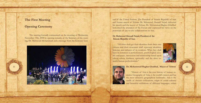# **The First Meeting**

# **Opening Ceremony**

The meeting formally commenced on the morning of Wednesday, ing, Dr. Mahmoud Mohammadi and a message from the Secretary Gen-November 19th, 2008 by opening remarks of the Secretary of the meet-



real of the United Nations. The President of Islamic Republic of Iran<br>and former mayor of Tehran, Dr. Mahmoud Ahmadi Nejad, delivered<br>his speech and the mayor of Tehran, Dr. Mohammad-Bagher Ghalibaf<br>welcomed the attendees and former mayor of Tehran, Dr. Mahmoud Ahmadi Nejad, delivered his speech and the mayor of Tehran, Dr. Mohammad-Bagher Ghalibaf welcomed the attendees of the Forum and expressed his views on the potentials of city-to-city collaborations in Asia.

## Dr. Mahmoud Ahmadi Nejad, President of the **Islamic Republic of Iran**

"All cities shall get their identities from their own citizens and their structures shall represent identities, histories and cultures of its residents. What they shall rity and peace, interaction and relationship based upon have in common is perfectionism, psychological secuethical values, kindness, spirituality and the drive to-<br>wards-human perfectionism."



cieties. Geography of Asia, is the world's vastest and has "History of Asia is the root history of human sothe most attractive geographical landmarks. Asia is the cradle of ancient civilizations, origin of noble cultures and beautiful exhibitions of different languages, colors

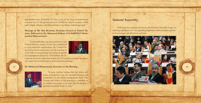and human races. Economy of Asia is one of the most prominent and essential axes of the global economy. Politics in Asia is complex, stable and is highly effective and influential due to its history and background. "

tions, Delivered by Dr. Mohamed Halfani, UN-HABITAT Distinguished Representative Message of Mr. Ban Ki-moon, Secretary General of United Nations, Delivered by Dr. Mohamed Halfani, UN-HABITAT Distin-Message of Mr. Ban Ki-moon, Secretary General of United Na-





cal point for local authorities within the UN system, provides the neces-<br>sary space for contributing to global decision-making." of development and peace. UN Habitat, the fo-<br>cal point for local authorities within the UN system, provides the neces



come extended by you, the talented directors and "It goes without saying that the warm welresearchers of the urban management from Asia, set which encourages us to turn this forum into a Europe and Africa, to this meeting is a valuable aspermanent reliable body in Asia."

# **General Assembly**

Following the opening ceremony, the General Assembly began its meeting and thirteen of the attending dignitaries delivered their speech-<br>es in morning and afternoon sessions:



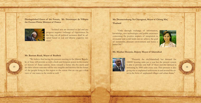Distinguished Guest of the Forum, Mr. Dominique de Villepin **the Former Prime Minister of France** 



"Isolated acts are doomed to fail and any progress requires exchange of experiences. In opted based or real and diverse expertise services." the long run all political measures shall be ad-<br>opted-based or real and diverse expertise serthe long run all political measures shall be ad-

#### **Mr. Bassam Raad, Mayor of Baalbek**

lic of Iran, will provide us with a fresh and dynamic power in the course "We believe that having the present meeting in the Islamic Repubof history of Asian nations, more towards a better life; the move and function of the drive whose outcome will be very tangible and decisive for the future of the people living in this region to the extent that we can get a clear view of our states in the world as well. "

Ms. Deuntemduang Na Chiengmai, Mayor of Chiang Mai, **Thailand**

"Only through exchange of information, knowledge, new technologies and public awareness concerning the positive impacts of integration in economic and social fields can we achieve the goal of sustainably, pleasant environment and hence a better life."

## **Mr. Mazhar Hossein, Deputy Mayor of Islamabad**



"Presently the city (Islamabad) has demand for 150000 housing units per a year but the present system is able to provide only half of these and this demand is increasing by 5000 units every year. This pressure is also ies in the form of unplanned villages and urban slums." giving rise to unplanned settlements in and around the cit-

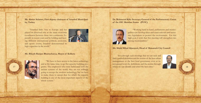Mr. Ahmet Selamet, First deputy chairman of Istanbul Municipal-<br>ity, Turkey

"Istanbul links Asia to Europe and has played its deserved role as the main economic ing different international political, economic, pecially in recent years and by holding and hostcoordinator between these two continents. Esand sports events, Istanbul demonstrated its high capacities in the world."



**Mr. Bikash Ranjan Bhattacharya, Mayor of Kolkata** 



"We have to have access to the latest technology and at the same time, to go for capacity building pro-<br>
17 mich we can identify and select the best cities." and at the same time, to go for capacity building proarchaic systems of the world, they are not willingly going to accept the modern technology, but we have to make them to accept that for which the capacity building is one of the most important aspects of the whole system."

**Dr. Mahmoud Kilic Secretary General of the Parliamentary Union** of the OIC Member States (PUIC)



sary legislations to protect the environment. For this palities can develop ideas and enact relevant and neces-"Working hand in hand, parliaments and municihigh goal, I wish that this meeting will strengthen ties among municipalities."

## **Mr. Majid Milad Aljazayeri, Head of Manameh City Council**

"It is through such meetings that we can seek and find a unified definition and the norms of the best urban ternational level; the definitions and the norms through management or the best local governance even at inwhich we can identify and select the best cities."

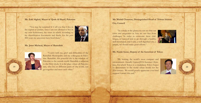## **Mr. Zaki Alghul, Mayor of Qods Al Sharif, Palestine**

"You may be surprised if I tell you that I live in the capital of Jordan, since I am not allowed to live in my own hometown, the town in which according to my identification documents and deeds, for the past 800 years my ancestors have lived there."



## **Ms. Janet Micheal, Mayor of Ramollah**



"I carry with me, grief and difficulties of the Ramallah Municipality and my colleagues in Palestine. Ramallah, this peaceful city is the window of Palestine to the outside world. Ramallah is adjacent to the Holy Qods. It is the place where all Palestinget together and meet each other."

**Mr. Mahdi Chamran, Distinguished Head of Tehran Islamic City Council** 

"In a study at the glance we can see that our cities and megacities in Asia are not free from challenges. In order to overcome these challenges, to succeed and to go through a healthy, well-developed, and I add, a well-dignified city, a utopia, we should make great efforts."

## **Mr. Naoki Inose, Deputy of the Governor of Tokyo**

and the original text of the world, can the original text of the world urban model for the statements of the vorld urban model for the statements of the world urban model for the statements of the world urban model for the "By hosting the world's most compact and environment- friendly Games [2016 Summer Olympics, for which Tokyo is a candidate], Tokyo hopes to disseminate to the world urban model for the 21st century. We would greatly appreciate your kind support toward this end."





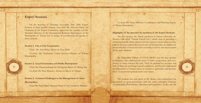# **Expert Sessions**

On the morning of Thursday, November 20th, 2008, Expert Sessions in three parallel sessions were held. Dr. Masoud Islami, the Chairman of the Expert Committee, supervised the sessions and Dr. Mozafari, Director of the International Relations Department of the Municipality of Tehran was in charge of coordinating the agenda of these sessions.

## **Session 1: City to City Cooperation**

Chair: Ms. Arti Mehra, Mayor of New Delhi

Co-chair: Dr. Karbasian, Urban Services Deputy of Tehran Municipality

## **Session 2: Local Governance and Public Participation**

Co-chair: Dr. Pour Mousavi, Adviser to Mayor of Tehran

# **Session 3: Common Challenges to the Management of Asian Metropolises**

Chair: Mr. Majid Milad Aljazayeri Head of City Council of Manama

Co-chair: Dr. Vaeze Mahdavi, Coordination and Planning Deputy of Tehran Municipality

## **Highlights of the speeches by members of the Expert Sessions:**

The first speaker, Dr. Ameli, professor at Tehran University delivered a talk titled "Tehran Virtual City", which aims at providing a virtual metropolis where citizens can have access to most urban services without having to physically travel to the service provider. In addition he mentioned that a virtual city must resemble a real city and must contain all the same elements.

Chair: Ms. Deuntemduang Na Chiengmai, Mayor of Chiang Mai half of them are not living in good conditions» and then he emphasized 22 Mr. Salaheddin Yildrim of UCLG-MEWA was the next speaker in the panel, who addressed the issues of cities, cooperation, and coexistence of many cultures. He said, "Half of mankind live in cities, and half of them are not living in good conditions» and then he emphasized the importance of human nature in relation to spirituality and development of moral and spiritual senses and values.

> The podium was next given to Dr. Rafiee, who emphasized the association of good governance with five major principles: Fairness, Accountability, Performance, Direction and Legitimacy. At the end, she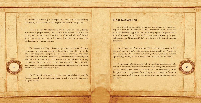recommended enhancing social capital and public trust by increasing the quantity and quality of social responsibilities of municipalities.

Moments later Mr. Mehmet Demirci, Mayor of Tuzla, Turkey, introduced a project called, "360 degree performance evaluation and ing the mayor are evaluated by the people through a questionnaire, and management system», in which efforts of all municipality staff includthe feedback is returned to them.

Dr. Mohammad Taghi Razavian, professor at Shahid Beheshti University, expressed and emphasized that the general objective of the tise of cities and offer an inexpensive yet efficient management system city-to-city cooperation projects is to transfer the knowledge and experadapted to local conditions. Dr. Razavian commented that city-to-city cooperation should be based on two main parameters, i.e., "mutuality" and equality» He suggested more cooperation in promotion of modern urban management techniques in cities. and equality. He suggested more cooperation in promotion of modern<br>23 architecture a comprehensive approach to regional cooperation<br>24 architecture in cities.

Dr. Ebrahimi elaborated on socio-economic challenges and Dr. Assadi, focused on urban health equality which is a moral value in our religious beliefs.

# **Final Declaration**

tropolis authorities, the draft of the final declaration, in 15 articles, was In a workshop consisting of mayors and experts of public mereviewed, discussed, approved and ultimately prepared for presentation eral assembly on November 20th. The following is the text of the final in the closing ceremony. The final declaration was adopted by the gendeclaration:

ran, and kindly hosted by the people and municipality of Tehran, on We the Mayors and Authorities of 89 Asian cities convened in Teh-19-20 November 2008, for the first meeting of the Asian Mayors Forum representing our respective Municipalities and Localities do hereby:

1. Appreciate the pioneering role of the Asian Parliamentary Asin Asia and recalling its Tehran Declaration of 2007 encouraging "Asian local governments, city councils, and mayors to exchange information and experience with a view to promoting cooperation and integration in Asia."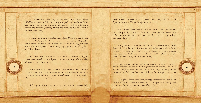2. Welcome the initiative by His Excellency Mohammad-Bagher Ghalibaf the Mayor of Tehran for organizing the Asian Mayors Forum cration and networking among mayors and municipalities of major ch-<br>ies-throughout Asia; as a fit w institution allining at promoting and facilitating further coop-<br>eration and networking among Mayors and Municipalities of Major Citas a new institution aiming at promoting and facilitating further coop-

derscore the essential role of cities in realization of good governance, dles of civilization, to the development of human society at large; Un-3. Acknowledge the contribution of Asian Major Cities, as the crasustainable development, and human prosperity, at national, regional, and global levels;

4. Underscore the essential role of cities in realization of good al, regional and global levels; governance, sustainable development, and human prosperity, at nation-

torically significant; economically strong; socially prosperous; culturally 5. Envisage Asian Major Cities as coherent cities which are hisdiverse; politically influential; technologically advanced; environmentally clean; and internationally proactive;

6. Recognize that further interaction and integration among Asian

Major Cities, will facilitate urban development and pave the way for higher standards of living throughout Asia;

to-city cooperation in areas such as urban planning and management, 7. Recall the enormous potentials of Asian Major Cities for cityurban tourism and architecture, trade and investment, energy, science and technology;

8. Express concern about the common challenges facing Asian Major Cities, including rapid urbanization, environmental degradation, vulnerable socio-cultural identity, uneasy transportation and mobility, ble financial resources, and natural disasters; underdeveloped health and safety, urban inequality and poverty, unsta-

9. Support the development of new networks among Asian Cities for the exchange of information, organization of expert conferences, and initiating joint research projects as well as training programs, to meet the common challenges facing the efficient urban management in Asia;

> ment of urban services in the Asian Major Cities; fectiveness of local governance and public participation in the improve-10. Express satisfaction with growing awareness vis-à-vis the ef-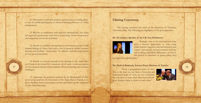er role for public participation in decision-making processes of urban 11. Determine to promote policies and practices providing greatmanagement;

12. Resolve to collaborate with regional, international, and Asian sub-regional organizations and fora in promoting further cooperation and integration across the continent;

13. Decide to establish and maintain an information portal on the nication and facilitate "virtual cities" as effective infrastructural means Internet linking all Asian Cities with a view to promote further commufor city good governance;

ors Forum to be hosted by a volunteer city in order to discuss matters 14. Decide to convene annually in the meeting of the Asian Maycommon interest and coordinate efforts in meeting our common **of the search of the search of the interest and coordinate efforts in meeting our common and the search of the search of the search of the search of the search** ;challenges

der to facilitate future networking activities and follow up the realization ran to set up and host the Secretariat of the Asian Mayors Forum in or-15. Appreciate the generous initiative by the Municipality of Tehof this Final Statement.

# **Closing Ceremony**

The closing ceremony was held on the afternoon of Thursday, November 20th. The following are highlights of the given speeches:

#### Dr. Ali Larijani, Speaker of the I.R. Iran Parliament



"Strategic view to the international scene" gives a historic opportunity to Asia, using which requires ingenuity, rational behaviour and Asians' convergence around common interests and avoiding superficial differences, so that in this period of transition of power poles, they

can find their rightful place."

#### **Mr. Hadi Al Bakkush, Former Prime Minister of Tunisia**

"From a geographical point of view, Asia is far from us, but from a historical and sentimental point of view, our two continents are very close to each other. Historical and religious borders bring us closer to each other."

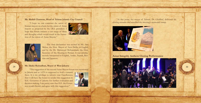## **Mr. Mahdi Chamran, Head of Tehran Islamic City Council**

"I hope we can construct the union of Iranian mayors as a basis for the union of Asian mayors as proposed by the I.R.I. president. I hope this forum initiates a vast range of ideas and thoughts which would result in the forma-<br>tion of the union of Asian Mayors."





The final declaration was recited by Ms. Arti Mehra, the Hon. Mayor of New Delhi, in English and by the Dr. Mahmoud Mohammadi, the Hon. neously interpreted to English, Arabic, French, Russian and Japanese. Secretary of the Meeting in Persian. It was simulta-<br>neously interpreted to English, Arabic, French, Rus-Secretary of the Meeting in Persian. It was simulta-

"The suggestion of the second Asian Mayors forum was mentioned

in Jakarta and as A.P.A is supposed to hold a summit there. It is my privilege to inform your Excellencies, that I will have the honor to render this suggestion to H.E. Governor of Jakarta for further evaluation and nor would cherish and agree with this suggestion." decision making. I am pretty sure that H.E. the Gover-



At this point, the mayor of Tehran, Dr. Ghalibaf, delivered his closing remarks and annulled the meeting's memorial stamp.



# **Asian Integrity Anthem Closing Performance**



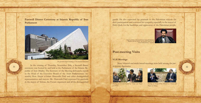**Farewell Dinner Ceremony at Islamic Republic of Iran Parliament**



*Phe pyramid-shaped building of The Iranian Parliament* 

In the evening of Thursday, November 20th, a farewell dinner public of Iran (Majlis). The Secretary of the Meeting delivered a report References the overlap of Thursday, November 20th, a farewell unifier<br>31 32 September 20th, a farewell unified was hosted by and held at the Parliament of the Islamic Resembly, Hon. Hojjat al-Islam Abutorabi Fard and other distinguished to the Head of the Executive Board of the Asian Parliamentary Asrepresentatives and mayors. Mr. Abutorabi Fard expressed his gratitude to the mayor of Tehran, the Forum organizers and all the distinguished

guests. He also expressed his gratitude to the Palestinian mayors for their participation and conveyed his sympathy especially to the mayor of Holy Qods for the hardships and oppression of the Palestinian people.

*Meeting of Governor General of Tokyo and Mayor Tehran of*





*Meeting of Former Prime Minister of France and Mayor of Tehran* 



*Assembly Parliamentary Asian the of board executive the of head the and member IranianParliament ,Fard Aboutorabi Islam-al Hojjat*

# **Post-meeting Visits**

#### **V.I.P. Meetings**

Many bilateral and multi-lateral meetings were held among the par-<br>ticipating-dignitaries.

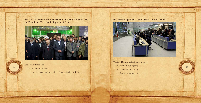**Visit of Hon. Guests to the Mausoleum of Imam Khomeini (RA)** the Founder of The Islamic Republic of Iran



## **Visit to Exhibitions**

- Common Identity
- Achievement and operation of municipality of Tehran



- 
- 
-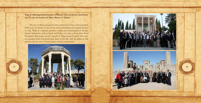Trip of Distinguished Guests to Shiraz, City of poetry and literature by the Invitation of Hon. Mayor of Shiraz

The city of Shiraz, located in the southwest of Iran, with more than 4000 years of history is one of the richest historical and cultural centers in Asia. With its exquisite gardens, tombs and monuments of Persian literary luminaries such as Saadi and Hafez, it is also a short drive from Persepolis. Persepolis was the capital of Achaemenid Empire. The earliest remains from Persepolis date back to 515 BC and the ruins of this ancient city are one of Iran's prime touristic attractions.



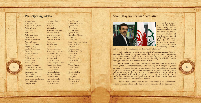# **Participating Cities**

Ahwaz, Iran Al Wakrah, Qatar Aleppo(Halab), Syria Ankara, Turkey Arak, Iran Ardebil, Iran Ar Rayyan, Oatar Ashgabat, Turkmenistan Astana, Kazakhstan Athens, Greece Baalbeck, Lebanon Baghdad, Iraq Bandar Abbas, Iran Basra, Iraq Bikfaya, Lebanon Birjand, Iran Bishkek, Kyrgyzstan Bojnord, Iran Bushehr, Iran Caracas, Venezuela Chiang Mai, Thailand Chok Jakarta, Indonesia Damascus, Syria Delhi, India Dushanbe, Tajikistan Dubai, United Arab Emirates Galle, Sri Lanka Gorgan, Iran

Hamedan, Iran Hims, Syria Ilam, Iran Isfahan, Iran Islamabad, Pakistan Istanbul, Turkey Jakarta, Indonesia Kabul, Afghanistan Karachi, Pakistan Karaj, Iran Karbala, Iraq Kerman, Iran Kermanshah, Iran Keserouan, Lebanon Khorram Abad, Iran Khujand, Tajikistan Kolkata, India Kotte, Sri Lanka Kuala Lumpur, Malaysia Kuwait City, Kuwait Lahore, Pakistan Lagos, Nigeria Manama, Bahrain Manila, Philippines Mashhad, Iran New Delhi, India Nicosia, Cyprus Octav, Kazakhstan

Paris, France Qalqilyah, Palestine Oazvin, Iran Oom, Iran Qubairi, Lebanon Qods, Palestine Ramallah, Palestine Rasht, Iran Rome, Italy Saint Petersburg, Russia Sanandaj, Iran Sari, Iran Semnan, Iran Shahr-e-Kord, Iran Shiraz, Iran Tabriz, Iran Taizz, Yemen Tokyo, Japan Tripoli, Lebanon Tunis, Tunisia Tuzla, Turkey Tyre, Lebanon Urumiyeh, Iran Yasuj, Iran Yazd, Iran Zagreb, Croatia Zahedan, Iran Zanjan, Iran

# **Asian Mayors Forum Secretariat**



and follow up the realization of this Final Statement."

The Secretariat was soon set up after the Tehran meeting. Mr. Mohammad Khodadadi, a former Iranian diplomat with vast international experiences around the globe and the Senior Adviser to the Mayor of Tehran on international relations, was appointed by Dr. Ghalibaf as the Acting Director of the newly formed office.

The Secretariat has various responsibilities including: coordination of the general assembly's meetings and planning of their agendas, creat-For Caracas, Venezuela Kuwait City, Kuwait Tunis, Tunisia of the general assembly's meetings and planning of their agendas, creat-<br>Chiang Mai, Thailand Lahore, Pakistan Tuzla, Turkey ing budget forecasts for various activi reports on expenses and budget, preparation of AMF activity reports and presentation to the members and the general assembly, monitoring the progress of AMF work groups and collecting their activity reports and presentation of all the agreements of the Forum to the members and all the involved and interested parties.

The Director of the Secretariat will be responsible for all communications, financial affairs and other executive activities of the Secretariat.

With the initiative of the Tehran Municipality and as acknowledged in the last article of the Fi-<br>nal Declaration of the first meeting of AMF, Tehran was to host the Secretariat of the AMF in order to "facilitate future networking activities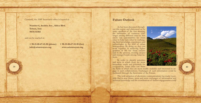Currently, the AMF Secretariat office is located at:

**Number 6, Anahita Ave., Africa Blvd. Tehran**, Iran **19176-43383**

and can be reached at:

 $+98-21-88-67-41-50$  (phone)  $+98-21-88-67-52-50$  (fax)  $info@$ asianmayors.org www.asianmayors.org

# **Future Outlook**

As has been discussed throughout this report and elaborated on by many speakers of the first meeting, the similarities of common chal-<br>lenges among different cities in Asia create vast opportunities for Asian cities to help each other by exchanging their knowledge, experiences and technologies in the field of urban management. By doing so, they can work together in achieving higher qualities of life for Asian citizens and in the process, creating deeper and stronger bonds among Asian na-<br>tions.

In order to identify priorities and areas in which there are more immediate needs and potentials for cooperation, Asian cities can share en to interested to en the fields in which they are more readily available and interested to en-<br>39 gage in such collaborations. Exchanges of such information could be facilitated through the Secretariat of the Forum.

> The wide adoption of electronic communications has made it possible that in near future, more and more exchanges of information and technical knowledge and the coordination of further engagements could